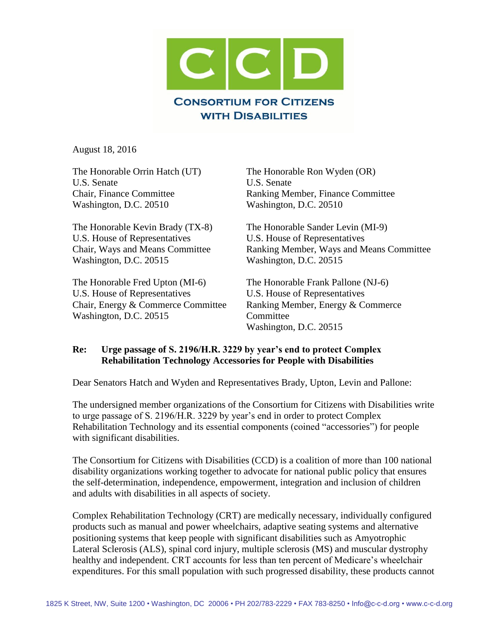

August 18, 2016

U.S. Senate U.S. Senate Washington, D.C. 20510 Washington, D.C. 20510

The Honorable Kevin Brady (TX-8) The Honorable Sander Levin (MI-9) U.S. House of Representatives U.S. House of Representatives Washington, D.C. 20515 Washington, D.C. 20515

The Honorable Fred Upton (MI-6) The Honorable Frank Pallone (NJ-6) U.S. House of Representatives U.S. House of Representatives Washington, D.C. 20515 Committee

The Honorable Orrin Hatch (UT) The Honorable Ron Wyden (OR) Chair, Finance Committee Ranking Member, Finance Committee

Chair, Ways and Means Committee Ranking Member, Ways and Means Committee

Chair, Energy & Commerce Committee Ranking Member, Energy & Commerce Washington, D.C. 20515

### **Re: Urge passage of S. 2196/H.R. 3229 by year's end to protect Complex Rehabilitation Technology Accessories for People with Disabilities**

Dear Senators Hatch and Wyden and Representatives Brady, Upton, Levin and Pallone:

The undersigned member organizations of the Consortium for Citizens with Disabilities write to urge passage of S. 2196/H.R. 3229 by year's end in order to protect Complex Rehabilitation Technology and its essential components (coined "accessories") for people with significant disabilities.

The Consortium for Citizens with Disabilities (CCD) is a coalition of more than 100 national disability organizations working together to advocate for national public policy that ensures the self-determination, independence, empowerment, integration and inclusion of children and adults with disabilities in all aspects of society.

Complex Rehabilitation Technology (CRT) are medically necessary, individually configured products such as manual and power wheelchairs, adaptive seating systems and alternative positioning systems that keep people with significant disabilities such as Amyotrophic Lateral Sclerosis (ALS), spinal cord injury, multiple sclerosis (MS) and muscular dystrophy healthy and independent. CRT accounts for less than ten percent of Medicare's wheelchair expenditures. For this small population with such progressed disability, these products cannot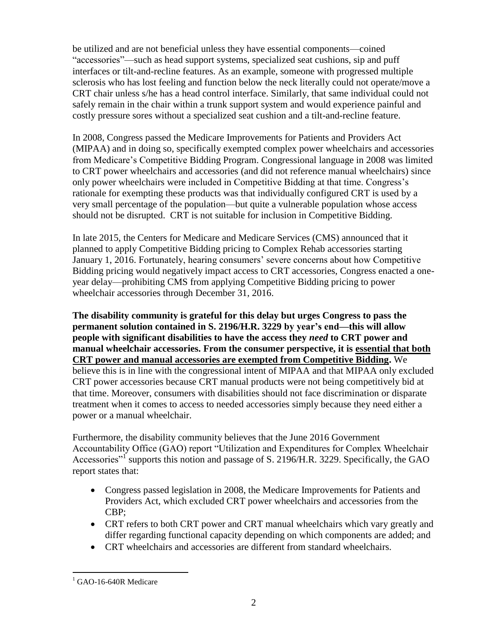be utilized and are not beneficial unless they have essential components—coined "accessories"—such as head support systems, specialized seat cushions, sip and puff interfaces or tilt-and-recline features. As an example, someone with progressed multiple sclerosis who has lost feeling and function below the neck literally could not operate/move a CRT chair unless s/he has a head control interface. Similarly, that same individual could not safely remain in the chair within a trunk support system and would experience painful and costly pressure sores without a specialized seat cushion and a tilt-and-recline feature.

In 2008, Congress passed the Medicare Improvements for Patients and Providers Act (MIPAA) and in doing so, specifically exempted complex power wheelchairs and accessories from Medicare's Competitive Bidding Program. Congressional language in 2008 was limited to CRT power wheelchairs and accessories (and did not reference manual wheelchairs) since only power wheelchairs were included in Competitive Bidding at that time. Congress's rationale for exempting these products was that individually configured CRT is used by a very small percentage of the population—but quite a vulnerable population whose access should not be disrupted. CRT is not suitable for inclusion in Competitive Bidding.

In late 2015, the Centers for Medicare and Medicare Services (CMS) announced that it planned to apply Competitive Bidding pricing to Complex Rehab accessories starting January 1, 2016. Fortunately, hearing consumers' severe concerns about how Competitive Bidding pricing would negatively impact access to CRT accessories, Congress enacted a oneyear delay—prohibiting CMS from applying Competitive Bidding pricing to power wheelchair accessories through December 31, 2016.

**The disability community is grateful for this delay but urges Congress to pass the permanent solution contained in S. 2196/H.R. 3229 by year's end—this will allow people with significant disabilities to have the access they** *need* **to CRT power and manual wheelchair accessories. From the consumer perspective, it is essential that both CRT power and manual accessories are exempted from Competitive Bidding.** We believe this is in line with the congressional intent of MIPAA and that MIPAA only excluded CRT power accessories because CRT manual products were not being competitively bid at that time. Moreover, consumers with disabilities should not face discrimination or disparate treatment when it comes to access to needed accessories simply because they need either a power or a manual wheelchair.

Furthermore, the disability community believes that the June 2016 Government Accountability Office (GAO) report "Utilization and Expenditures for Complex Wheelchair Accessories"<sup>1</sup> supports this notion and passage of S. 2196/H.R. 3229. Specifically, the GAO report states that:

- Congress passed legislation in 2008, the Medicare Improvements for Patients and Providers Act, which excluded CRT power wheelchairs and accessories from the CBP;
- CRT refers to both CRT power and CRT manual wheelchairs which vary greatly and differ regarding functional capacity depending on which components are added; and
- CRT wheelchairs and accessories are different from standard wheelchairs.

 $\overline{a}$ <sup>1</sup> GAO-16-640R Medicare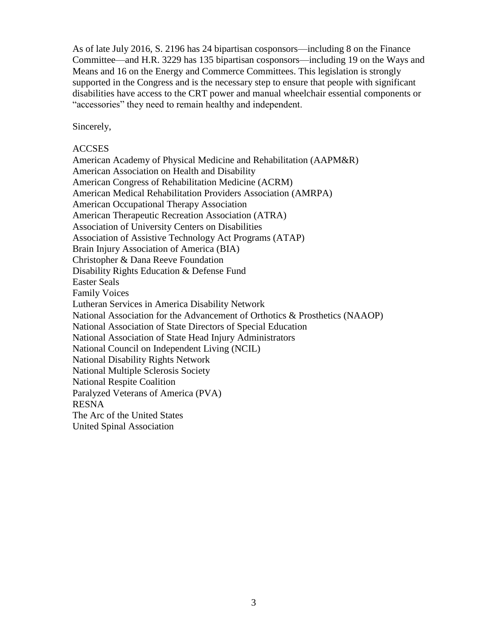As of late July 2016, S. 2196 has 24 bipartisan cosponsors—including 8 on the Finance Committee—and H.R. 3229 has 135 bipartisan cosponsors—including 19 on the Ways and Means and 16 on the Energy and Commerce Committees. This legislation is strongly supported in the Congress and is the necessary step to ensure that people with significant disabilities have access to the CRT power and manual wheelchair essential components or "accessories" they need to remain healthy and independent.

Sincerely,

#### ACCSES

American Academy of Physical Medicine and Rehabilitation (AAPM&R) American Association on Health and Disability American Congress of Rehabilitation Medicine (ACRM) American Medical Rehabilitation Providers Association (AMRPA) American Occupational Therapy Association American Therapeutic Recreation Association (ATRA) Association of University Centers on Disabilities Association of Assistive Technology Act Programs (ATAP) Brain Injury Association of America (BIA) Christopher & Dana Reeve Foundation Disability Rights Education & Defense Fund Easter Seals Family Voices Lutheran Services in America Disability Network National Association for the Advancement of Orthotics & Prosthetics (NAAOP) National Association of State Directors of Special Education National Association of State Head Injury Administrators National Council on Independent Living (NCIL) National Disability Rights Network National Multiple Sclerosis Society National Respite Coalition Paralyzed Veterans of America (PVA) RESNA The Arc of the United States United Spinal Association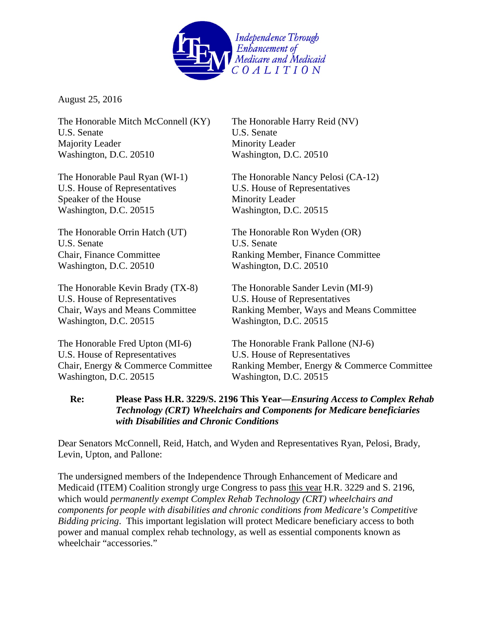

August 25, 2016

The Honorable Mitch McConnell (KY) The Honorable Harry Reid (NV) U.S. Senate U.S. Senate Majority Leader Minority Leader Washington, D.C. 20510 Washington, D.C. 20510

U.S. House of Representatives U.S. House of Representatives Speaker of the House Minority Leader Washington, D.C. 20515 Washington, D.C. 20515

U.S. Senate U.S. Senate Washington, D.C. 20510

The Honorable Kevin Brady (TX-8) The Honorable Sander Levin (MI-9) U.S. House of Representatives U.S. House of Representatives Washington, D.C. 20515 Washington, D.C. 20515

The Honorable Fred Upton (MI-6) The Honorable Frank Pallone (NJ-6) U.S. House of Representatives U.S. House of Representatives Washington, D.C. 20515 Washington, D.C. 20515

The Honorable Paul Ryan (WI-1) The Honorable Nancy Pelosi (CA-12)

The Honorable Orrin Hatch (UT) The Honorable Ron Wyden (OR) Chair, Finance Committee Ranking Member, Finance Committee Washington, D.C. 20510 Washington, D.C. 20510

Chair, Ways and Means Committee Ranking Member, Ways and Means Committee

Chair, Energy & Commerce Committee Ranking Member, Energy & Commerce Committee

## **Re: Please Pass H.R. 3229/S. 2196 This Year—***Ensuring Access to Complex Rehab Technology (CRT) Wheelchairs and Components for Medicare beneficiaries with Disabilities and Chronic Conditions*

Dear Senators McConnell, Reid, Hatch, and Wyden and Representatives Ryan, Pelosi, Brady, Levin, Upton, and Pallone:

The undersigned members of the Independence Through Enhancement of Medicare and Medicaid (ITEM) Coalition strongly urge Congress to pass this year H.R. 3229 and S. 2196, which would *permanently exempt Complex Rehab Technology (CRT) wheelchairs and components for people with disabilities and chronic conditions from Medicare's Competitive Bidding pricing*. This important legislation will protect Medicare beneficiary access to both power and manual complex rehab technology, as well as essential components known as wheelchair "accessories."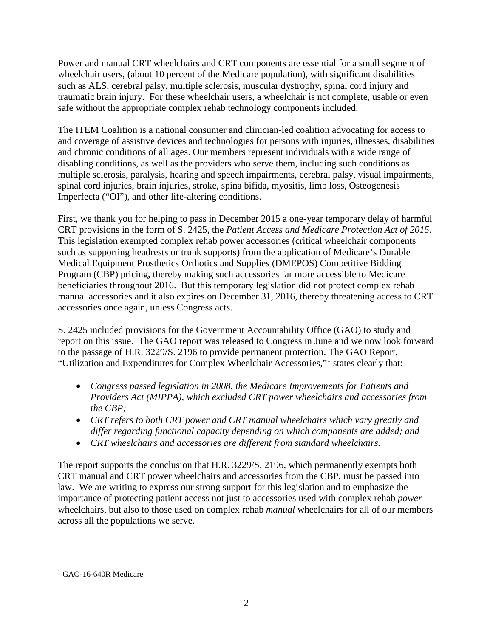Power and manual CRT wheelchairs and CRT components are essential for a small segment of wheelchair users, (about 10 percent of the Medicare population), with significant disabilities such as ALS, cerebral palsy, multiple sclerosis, muscular dystrophy, spinal cord injury and traumatic brain injury. For these wheelchair users, a wheelchair is not complete, usable or even safe without the appropriate complex rehab technology components included.

The ITEM Coalition is a national consumer and clinician-led coalition advocating for access to and coverage of assistive devices and technologies for persons with injuries, illnesses, disabilities and chronic conditions of all ages. Our members represent individuals with a wide range of disabling conditions, as well as the providers who serve them, including such conditions as multiple sclerosis, paralysis, hearing and speech impairments, cerebral palsy, visual impairments, spinal cord injuries, brain injuries, stroke, spina bifida, myositis, limb loss, Osteogenesis Imperfecta ("OI"), and other life-altering conditions.

First, we thank you for helping to pass in December 2015 a one-year temporary delay of harmful CRT provisions in the form of S. 2425, the *Patient Access and Medicare Protection Act of 2015*. This legislation exempted complex rehab power accessories (critical wheelchair components such as supporting headrests or trunk supports) from the application of Medicare's Durable Medical Equipment Prosthetics Orthotics and Supplies (DMEPOS) Competitive Bidding Program (CBP) pricing, thereby making such accessories far more accessible to Medicare beneficiaries throughout 2016. But this temporary legislation did not protect complex rehab manual accessories and it also expires on December 31, 2016, thereby threatening access to CRT accessories once again, unless Congress acts.

S. 2425 included provisions for the Government Accountability Office (GAO) to study and report on this issue. The GAO report was released to Congress in June and we now look forward to the passage of H.R. 3229/S. 2196 to provide permanent protection. The GAO Report, "Utilization and Expenditures for Complex Wheelchair Accessories,"[1](#page-4-0) states clearly that:

- *Congress passed legislation in 2008, the Medicare Improvements for Patients and Providers Act (MIPPA), which excluded CRT power wheelchairs and accessories from the CBP;*
- *CRT refers to both CRT power and CRT manual wheelchairs which vary greatly and differ regarding functional capacity depending on which components are added; and*
- *CRT wheelchairs and accessories are different from standard wheelchairs.*

The report supports the conclusion that H.R. 3229/S. 2196, which permanently exempts both CRT manual and CRT power wheelchairs and accessories from the CBP, must be passed into law. We are writing to express our strong support for this legislation and to emphasize the importance of protecting patient access not just to accessories used with complex rehab *power* wheelchairs, but also to those used on complex rehab *manual* wheelchairs for all of our members across all the populations we serve.

<span id="page-4-0"></span> $^{1}$  GAO-16-640R Medicare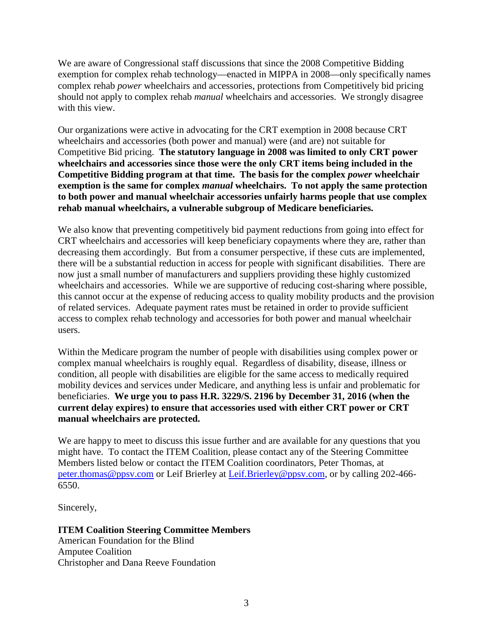We are aware of Congressional staff discussions that since the 2008 Competitive Bidding exemption for complex rehab technology—enacted in MIPPA in 2008—only specifically names complex rehab *power* wheelchairs and accessories, protections from Competitively bid pricing should not apply to complex rehab *manual* wheelchairs and accessories. We strongly disagree with this view.

Our organizations were active in advocating for the CRT exemption in 2008 because CRT wheelchairs and accessories (both power and manual) were (and are) not suitable for Competitive Bid pricing. **The statutory language in 2008 was limited to only CRT power wheelchairs and accessories since those were the only CRT items being included in the Competitive Bidding program at that time. The basis for the complex** *power* **wheelchair exemption is the same for complex** *manual* **wheelchairs. To not apply the same protection to both power and manual wheelchair accessories unfairly harms people that use complex rehab manual wheelchairs, a vulnerable subgroup of Medicare beneficiaries.**

We also know that preventing competitively bid payment reductions from going into effect for CRT wheelchairs and accessories will keep beneficiary copayments where they are, rather than decreasing them accordingly. But from a consumer perspective, if these cuts are implemented, there will be a substantial reduction in access for people with significant disabilities. There are now just a small number of manufacturers and suppliers providing these highly customized wheelchairs and accessories. While we are supportive of reducing cost-sharing where possible, this cannot occur at the expense of reducing access to quality mobility products and the provision of related services. Adequate payment rates must be retained in order to provide sufficient access to complex rehab technology and accessories for both power and manual wheelchair users.

Within the Medicare program the number of people with disabilities using complex power or complex manual wheelchairs is roughly equal. Regardless of disability, disease, illness or condition, all people with disabilities are eligible for the same access to medically required mobility devices and services under Medicare, and anything less is unfair and problematic for beneficiaries. **We urge you to pass H.R. 3229/S. 2196 by December 31, 2016 (when the current delay expires) to ensure that accessories used with either CRT power or CRT manual wheelchairs are protected.**

We are happy to meet to discuss this issue further and are available for any questions that you might have. To contact the ITEM Coalition, please contact any of the Steering Committee Members listed below or contact the ITEM Coalition coordinators, Peter Thomas, at [peter.thomas@ppsv.com](mailto:peter.thomas@ppsv.com) or Leif Brierley at [Leif.Brierley@ppsv.com,](mailto:Leif.Brierley@ppsv.com) or by calling 202-466- 6550.

Sincerely,

# **ITEM Coalition Steering Committee Members**

American Foundation for the Blind Amputee Coalition Christopher and Dana Reeve Foundation